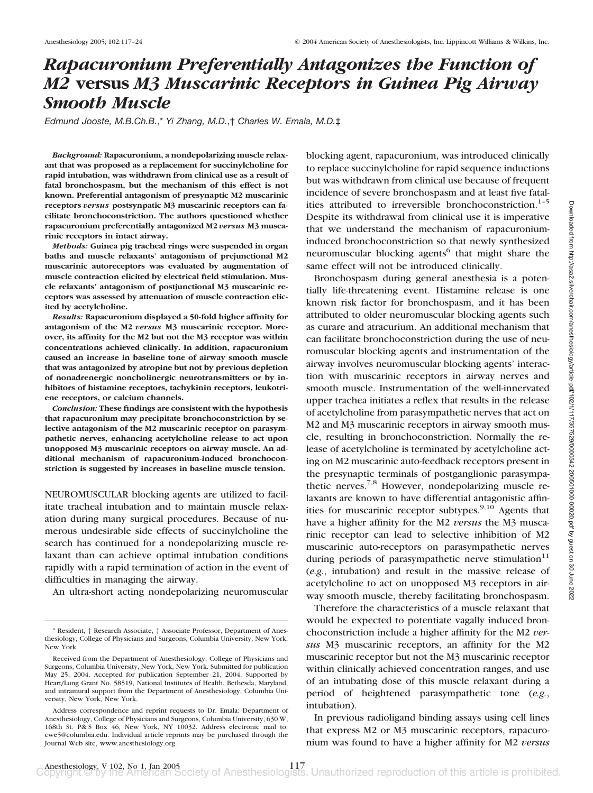# *Rapacuronium Preferentially Antagonizes the Function of M2* **versus** *M3 Muscarinic Receptors in Guinea Pig Airway Smooth Muscle*

*Edmund Jooste, M.B.Ch.B.*,\* *Yi Zhang, M.D.*,† *Charles W. Emala, M.D.*‡

*Background:* **Rapacuronium, a nondepolarizing muscle relaxant that was proposed as a replacement for succinylcholine for rapid intubation, was withdrawn from clinical use as a result of fatal bronchospasm, but the mechanism of this effect is not known. Preferential antagonism of presynaptic M2 muscarinic receptors** *versus* **postsynpatic M3 muscarinic receptors can facilitate bronchoconstriction. The authors questioned whether rapacuronium preferentially antagonized M2** *versus* **M3 muscarinic receptors in intact airway.**

*Methods:* **Guinea pig tracheal rings were suspended in organ baths and muscle relaxants' antagonism of prejunctional M2 muscarinic autoreceptors was evaluated by augmentation of muscle contraction elicited by electrical field stimulation. Muscle relaxants' antagonism of postjunctional M3 muscarinic receptors was assessed by attenuation of muscle contraction elicited by acetylcholine.**

*Results:* **Rapacuronium displayed a 50-fold higher affinity for antagonism of the M2** *versus* **M3 muscarinic receptor. Moreover, its affinity for the M2 but not the M3 receptor was within concentrations achieved clinically. In addition, rapacuronium caused an increase in baseline tone of airway smooth muscle that was antagonized by atropine but not by previous depletion of nonadrenergic noncholinergic neurotransmitters or by inhibitors of histamine receptors, tachykinin receptors, leukotriene receptors, or calcium channels.**

*Conclusion:* **These findings are consistent with the hypothesis that rapacuronium may precipitate bronchoconstriction by selective antagonism of the M2 muscarinic receptor on parasympathetic nerves, enhancing acetylcholine release to act upon unopposed M3 muscarinic receptors on airway muscle. An additional mechanism of rapacuronium-induced bronchoconstriction is suggested by increases in baseline muscle tension.**

NEUROMUSCULAR blocking agents are utilized to facilitate tracheal intubation and to maintain muscle relaxation during many surgical procedures. Because of numerous undesirable side effects of succinylcholine the search has continued for a nondepolarizing muscle relaxant than can achieve optimal intubation conditions rapidly with a rapid termination of action in the event of difficulties in managing the airway.

An ultra-short acting nondepolarizing neuromuscular

blocking agent, rapacuronium, was introduced clinically to replace succinylcholine for rapid sequence inductions but was withdrawn from clinical use because of frequent incidence of severe bronchospasm and at least five fatalities attributed to irreversible bronchoconstriction.<sup>1-5</sup> Despite its withdrawal from clinical use it is imperative that we understand the mechanism of rapacuroniuminduced bronchoconstriction so that newly synthesized neuromuscular blocking agents<sup>6</sup> that might share the same effect will not be introduced clinically.

Bronchospasm during general anesthesia is a potentially life-threatening event. Histamine release is one known risk factor for bronchospasm, and it has been attributed to older neuromuscular blocking agents such as curare and atracurium. An additional mechanism that can facilitate bronchoconstriction during the use of neuromuscular blocking agents and instrumentation of the airway involves neuromuscular blocking agents' interaction with muscarinic receptors in airway nerves and smooth muscle. Instrumentation of the well-innervated upper trachea initiates a reflex that results in the release of acetylcholine from parasympathetic nerves that act on M2 and M3 muscarinic receptors in airway smooth muscle, resulting in bronchoconstriction. Normally the release of acetylcholine is terminated by acetylcholine acting on M2 muscarinic auto-feedback receptors present in the presynaptic terminals of postganglionic parasympathetic nerves.<sup>7,8</sup> However, nondepolarizing muscle relaxants are known to have differential antagonistic affinities for muscarinic receptor subtypes. $9,10$  Agents that have a higher affinity for the M2 *versus* the M3 muscarinic receptor can lead to selective inhibition of M2 muscarinic auto-receptors on parasympathetic nerves during periods of parasympathetic nerve stimulation $11$ (*e.g.*, intubation) and result in the massive release of acetylcholine to act on unopposed M3 receptors in airway smooth muscle, thereby facilitating bronchospasm.

Therefore the characteristics of a muscle relaxant that would be expected to potentiate vagally induced bronchoconstriction include a higher affinity for the M2 *versus* M3 muscarinic receptors, an affinity for the M2 muscarinic receptor but not the M3 muscarinic receptor within clinically achieved concentration ranges, and use of an intubating dose of this muscle relaxant during a period of heightened parasympathetic tone (*e.g.*, intubation).

In previous radioligand binding assays using cell lines that express M2 or M3 muscarinic receptors, rapacuronium was found to have a higher affinity for M2 *versus*

<sup>\*</sup> Resident, † Research Associate, ‡ Associate Professor, Department of Anesthesiology, College of Physicians and Surgeons, Columbia University, New York, New York.

Received from the Department of Anesthesiology, College of Physicians and Surgeons, Columbia University, New York, New York. Submitted for publication May 25, 2004. Accepted for publication September 21, 2004. Supported by Heart/Lung Grant No. 58519, National Institutes of Health, Bethesda, Maryland, and intramural support from the Department of Anesthesiology, Columbia University, New York, New York.

Address correspondence and reprint requests to Dr. Emala: Department of Anesthesiology, College of Physicians and Surgeons, Columbia University, 630 W, 168th St. P& S Box 46, New York, NY 10032. Address electronic mail to: cwe5@columbia.edu. Individual article reprints may be purchased through the Journal Web site, www.anesthesiology.org.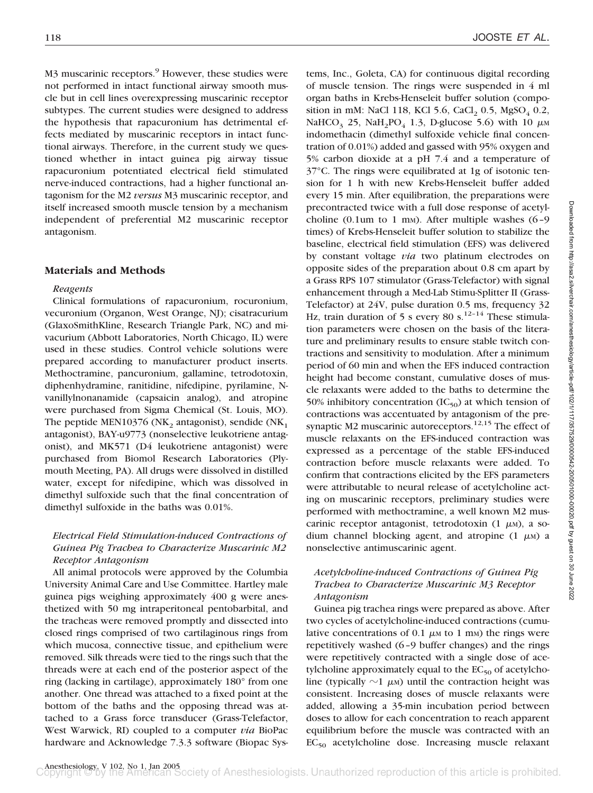M3 muscarinic receptors.<sup>9</sup> However, these studies were not performed in intact functional airway smooth muscle but in cell lines overexpressing muscarinic receptor subtypes. The current studies were designed to address the hypothesis that rapacuronium has detrimental effects mediated by muscarinic receptors in intact functional airways. Therefore, in the current study we questioned whether in intact guinea pig airway tissue rapacuronium potentiated electrical field stimulated nerve-induced contractions, had a higher functional antagonism for the M2 *versus* M3 muscarinic receptor, and itself increased smooth muscle tension by a mechanism independent of preferential M2 muscarinic receptor antagonism.

### **Materials and Methods**

#### *Reagents*

Clinical formulations of rapacuronium, rocuronium, vecuronium (Organon, West Orange, NJ); cisatracurium (GlaxoSmithKline, Research Triangle Park, NC) and mivacurium (Abbott Laboratories, North Chicago, IL) were used in these studies. Control vehicle solutions were prepared according to manufacturer product inserts. Methoctramine, pancuronium, gallamine, tetrodotoxin, diphenhydramine, ranitidine, nifedipine, pyrilamine, Nvanillylnonanamide (capsaicin analog), and atropine were purchased from Sigma Chemical (St. Louis, MO). The peptide MEN10376 (NK<sub>2</sub> antagonist), sendide (NK<sub>1</sub> antagonist), BAY-u9773 (nonselective leukotriene antagonist), and MK571 (D4 leukotriene antagonist) were purchased from Biomol Research Laboratories (Plymouth Meeting, PA). All drugs were dissolved in distilled water, except for nifedipine, which was dissolved in dimethyl sulfoxide such that the final concentration of dimethyl sulfoxide in the baths was 0.01%.

# *Electrical Field Stimulation-induced Contractions of Guinea Pig Trachea to Characterize Muscarinic M2 Receptor Antagonism*

All animal protocols were approved by the Columbia University Animal Care and Use Committee. Hartley male guinea pigs weighing approximately 400 g were anesthetized with 50 mg intraperitoneal pentobarbital, and the tracheas were removed promptly and dissected into closed rings comprised of two cartilaginous rings from which mucosa, connective tissue, and epithelium were removed. Silk threads were tied to the rings such that the threads were at each end of the posterior aspect of the ring (lacking in cartilage), approximately 180° from one another. One thread was attached to a fixed point at the bottom of the baths and the opposing thread was attached to a Grass force transducer (Grass-Telefactor, West Warwick, RI) coupled to a computer *via* BioPac hardware and Acknowledge 7.3.3 software (Biopac Sys-

tems, Inc., Goleta, CA) for continuous digital recording of muscle tension. The rings were suspended in 4 ml organ baths in Krebs-Henseleit buffer solution (composition in mM: NaCl 118, KCl 5.6, CaCl, 0.5, MgSO<sub>4</sub> 0.2, NaHCO<sub>3</sub> 25, NaH<sub>2</sub>PO<sub>4</sub> 1.3, D-glucose 5.6) with 10  $\mu$ M indomethacin (dimethyl sulfoxide vehicle final concentration of 0.01%) added and gassed with 95% oxygen and 5% carbon dioxide at a pH 7.4 and a temperature of 37°C. The rings were equilibrated at 1g of isotonic tension for 1 h with new Krebs-Henseleit buffer added every 15 min. After equilibration, the preparations were precontracted twice with a full dose response of acetylcholine  $(0.1$ um to 1 m<sub>M</sub>). After multiple washes  $(6-9)$ times) of Krebs-Henseleit buffer solution to stabilize the baseline, electrical field stimulation (EFS) was delivered by constant voltage *via* two platinum electrodes on opposite sides of the preparation about 0.8 cm apart by a Grass RPS 107 stimulator (Grass-Telefactor) with signal enhancement through a Med-Lab Stimu-Splitter II (Grass-Telefactor) at 24V, pulse duration 0.5 ms, frequency 32 Hz, train duration of 5 s every 80 s.<sup>12-14</sup> These stimulation parameters were chosen on the basis of the literature and preliminary results to ensure stable twitch contractions and sensitivity to modulation. After a minimum period of 60 min and when the EFS induced contraction height had become constant, cumulative doses of muscle relaxants were added to the baths to determine the 50% inhibitory concentration  $(IC_{50})$  at which tension of contractions was accentuated by antagonism of the presynaptic M2 muscarinic autoreceptors.<sup>12,15</sup> The effect of muscle relaxants on the EFS-induced contraction was expressed as a percentage of the stable EFS-induced contraction before muscle relaxants were added. To confirm that contractions elicited by the EFS parameters were attributable to neural release of acetylcholine acting on muscarinic receptors, preliminary studies were performed with methoctramine, a well known M2 muscarinic receptor antagonist, tetrodotoxin  $(1 \mu M)$ , a sodium channel blocking agent, and atropine  $(1 \mu)$  a nonselective antimuscarinic agent.

# *Acetylcholine-induced Contractions of Guinea Pig Trachea to Characterize Muscarinic M3 Receptor Antagonism*

Guinea pig trachea rings were prepared as above. After two cycles of acetylcholine-induced contractions (cumulative concentrations of 0.1  $\mu$ M to 1 mM) the rings were repetitively washed (6–9 buffer changes) and the rings were repetitively contracted with a single dose of acetylcholine approximately equal to the  $EC_{50}$  of acetylcholine (typically  $\sim$ 1  $\mu$ <sub>M</sub>) until the contraction height was consistent. Increasing doses of muscle relaxants were added, allowing a 35-min incubation period between doses to allow for each concentration to reach apparent equilibrium before the muscle was contracted with an  $EC_{50}$  acetylcholine dose. Increasing muscle relaxant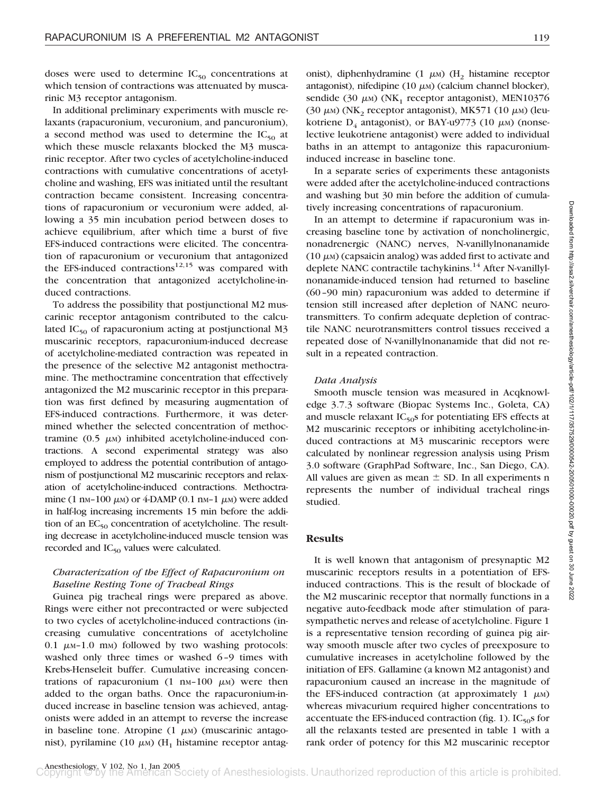doses were used to determine  $IC_{50}$  concentrations at which tension of contractions was attenuated by muscarinic M3 receptor antagonism.

In additional preliminary experiments with muscle relaxants (rapacuronium, vecuronium, and pancuronium), a second method was used to determine the  $IC_{50}$  at which these muscle relaxants blocked the M3 muscarinic receptor. After two cycles of acetylcholine-induced contractions with cumulative concentrations of acetylcholine and washing, EFS was initiated until the resultant contraction became consistent. Increasing concentrations of rapacuronium or vecuronium were added, allowing a 35 min incubation period between doses to achieve equilibrium, after which time a burst of five EFS-induced contractions were elicited. The concentration of rapacuronium or vecuronium that antagonized the EFS-induced contractions $12,15$  was compared with the concentration that antagonized acetylcholine-induced contractions.

To address the possibility that postjunctional M2 muscarinic receptor antagonism contributed to the calculated  $IC_{50}$  of rapacuronium acting at postjunctional M3 muscarinic receptors, rapacuronium-induced decrease of acetylcholine-mediated contraction was repeated in the presence of the selective M2 antagonist methoctramine. The methoctramine concentration that effectively antagonized the M2 muscarinic receptor in this preparation was first defined by measuring augmentation of EFS-induced contractions. Furthermore, it was determined whether the selected concentration of methoctramine  $(0.5 \mu)$  inhibited acetylcholine-induced contractions. A second experimental strategy was also employed to address the potential contribution of antagonism of postjunctional M2 muscarinic receptors and relaxation of acetylcholine-induced contractions. Methoctramine (1 nm-100  $\mu$ m) or 4-DAMP (0.1 nm-1  $\mu$ m) were added in half-log increasing increments 15 min before the addition of an  $EC_{50}$  concentration of acetylcholine. The resulting decrease in acetylcholine-induced muscle tension was recorded and  $IC_{50}$  values were calculated.

## *Characterization of the Effect of Rapacuronium on Baseline Resting Tone of Tracheal Rings*

Guinea pig tracheal rings were prepared as above. Rings were either not precontracted or were subjected to two cycles of acetylcholine-induced contractions (increasing cumulative concentrations of acetylcholine 0.1  $\mu$ M-1.0 mM) followed by two washing protocols: washed only three times or washed 6–9 times with Krebs-Henseleit buffer. Cumulative increasing concentrations of rapacuronium  $(1 \text{ nm}-100 \mu)$  were then added to the organ baths. Once the rapacuronium-induced increase in baseline tension was achieved, antagonists were added in an attempt to reverse the increase in baseline tone. Atropine  $(1 \mu)$  (muscarinic antagonist), pyrilamine (10  $\mu$ M) (H<sub>1</sub> histamine receptor antag-

onist), diphenhydramine (1  $\mu$ M) (H<sub>2</sub> histamine receptor antagonist), nifedipine (10  $\mu$ M) (calcium channel blocker), sendide (30  $\mu$ M) (NK<sub>1</sub> receptor antagonist), MEN10376 (30  $\mu$ M) (NK<sub>2</sub> receptor antagonist), MK571 (10  $\mu$ M) (leukotriene  $D_4$  antagonist), or BAY-u9773 (10  $\mu$ M) (nonselective leukotriene antagonist) were added to individual baths in an attempt to antagonize this rapacuroniuminduced increase in baseline tone.

In a separate series of experiments these antagonists were added after the acetylcholine-induced contractions and washing but 30 min before the addition of cumulatively increasing concentrations of rapacuronium.

In an attempt to determine if rapacuronium was increasing baseline tone by activation of noncholinergic, nonadrenergic (NANC) nerves, N-vanillylnonanamide  $(10 \mu)$  (capsaicin analog) was added first to activate and deplete NANC contractile tachykinins.<sup>14</sup> After N-vanillylnonanamide-induced tension had returned to baseline (60–90 min) rapacuronium was added to determine if tension still increased after depletion of NANC neurotransmitters. To confirm adequate depletion of contractile NANC neurotransmitters control tissues received a repeated dose of N-vanillylnonanamide that did not result in a repeated contraction.

#### *Data Analysis*

Smooth muscle tension was measured in Acqknowledge 3.7.3 software (Biopac Systems Inc., Goleta, CA) and muscle relaxant  $IC_{50}$ s for potentiating EFS effects at M2 muscarinic receptors or inhibiting acetylcholine-induced contractions at M3 muscarinic receptors were calculated by nonlinear regression analysis using Prism 3.0 software (GraphPad Software, Inc., San Diego, CA). All values are given as mean  $\pm$  SD. In all experiments n represents the number of individual tracheal rings studied.

## **Results**

It is well known that antagonism of presynaptic M2 muscarinic receptors results in a potentiation of EFSinduced contractions. This is the result of blockade of the M2 muscarinic receptor that normally functions in a negative auto-feedback mode after stimulation of parasympathetic nerves and release of acetylcholine. Figure 1 is a representative tension recording of guinea pig airway smooth muscle after two cycles of preexposure to cumulative increases in acetylcholine followed by the initiation of EFS. Gallamine (a known M2 antagonist) and rapacuronium caused an increase in the magnitude of the EFS-induced contraction (at approximately  $1 \mu M$ ) whereas mivacurium required higher concentrations to accentuate the EFS-induced contraction (fig. 1).  $IC_{50}$  for all the relaxants tested are presented in table 1 with a rank order of potency for this M2 muscarinic receptor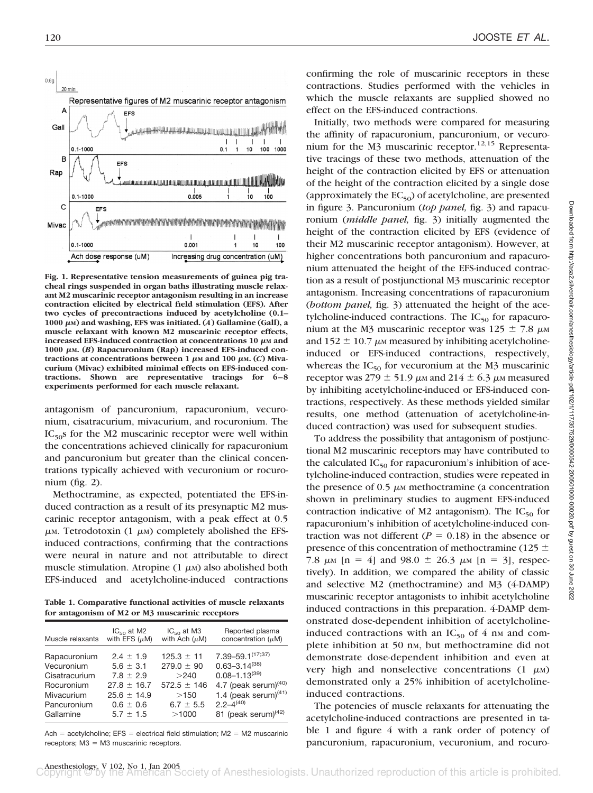

**Fig. 1. Representative tension measurements of guinea pig tracheal rings suspended in organ baths illustrating muscle relaxant M2 muscarinic receptor antagonism resulting in an increase contraction elicited by electrical field stimulation (EFS). After two cycles of precontractions induced by acetylcholine (0.1–** 1000  $\mu$ <sub>M</sub>) and washing, EFS was initiated. (*A*) Gallamine (Gall), a **muscle relaxant with known M2 muscarinic receptor effects,** increased EFS-induced contraction at concentrations 10  $\mu$ M and **1000 M. (***B***) Rapacuronium (Rap) increased EFS-induced con**tractions at concentrations between 1  $\mu$ M and 100  $\mu$ M. (*C*) Miva**curium (Mivac) exhibited minimal effects on EFS-induced contractions. Shown are representative tracings for 6–8 experiments performed for each muscle relaxant.**

antagonism of pancuronium, rapacuronium, vecuronium, cisatracurium, mivacurium, and rocuronium. The  $IC_{50}$ s for the M2 muscarinic receptor were well within the concentrations achieved clinically for rapacuronium and pancuronium but greater than the clinical concentrations typically achieved with vecuronium or rocuronium (fig. 2).

Methoctramine, as expected, potentiated the EFS-induced contraction as a result of its presynaptic M2 muscarinic receptor antagonism, with a peak effect at 0.5  $\mu$ M. Tetrodotoxin (1  $\mu$ M) completely abolished the EFSinduced contractions, confirming that the contractions were neural in nature and not attributable to direct muscle stimulation. Atropine (1  $\mu$ M) also abolished both EFS-induced and acetylcholine-induced contractions

**Table 1. Comparative functional activities of muscle relaxants for antagonism of M2 or M3 muscarinic receptors**

| Muscle relaxants | $IC_{50}$ at M2    | $IC_{50}$ at M3    | Reported plasma                  |
|------------------|--------------------|--------------------|----------------------------------|
|                  | with EFS $(\mu M)$ | with Ach $(\mu M)$ | concentration $(\mu M)$          |
| Rapacuronium     | $2.4 + 1.9$        | $125.3 \pm 11$     | 7.39-59.1 <sup>(17;37)</sup>     |
| Vecuronium       | $5.6 \pm 3.1$      | $279.0 \pm 90$     | $0.63 - 3.14^{(38)}$             |
| Cisatracurium    | $7.8 + 2.9$        | >240               | $0.08 - 1.13^{(39)}$             |
| Rocuronium       | $27.8 \pm 16.7$    | $572.5 \pm 146$    | 4.7 (peak serum) <sup>(40)</sup> |
| Mivacurium       | $25.6 + 14.9$      | >150               | 1.4 (peak serum) $(41)$          |
| Pancuronium      | $0.6 \pm 0.6$      | $6.7 \pm 5.5$      | $2.2 - 4^{(40)}$                 |
| Gallamine        | $5.7 + 1.5$        | >1000              | 81 (peak serum) $(42)$           |

Ach = acetylcholine; EFS = electrical field stimulation; M2 = M2 muscarinic  $receptors$ ; M3 = M3 muscarinic receptors.

confirming the role of muscarinic receptors in these contractions. Studies performed with the vehicles in which the muscle relaxants are supplied showed no effect on the EFS-induced contractions.

Initially, two methods were compared for measuring the affinity of rapacuronium, pancuronium, or vecuronium for the M3 muscarinic receptor.<sup>12,15</sup> Representative tracings of these two methods, attenuation of the height of the contraction elicited by EFS or attenuation of the height of the contraction elicited by a single dose (approximately the  $EC_{50}$ ) of acetylcholine, are presented in figure 3. Pancuronium (*top panel,* fig. 3) and rapacuronium (*middle panel,* fig. 3) initially augmented the height of the contraction elicited by EFS (evidence of their M2 muscarinic receptor antagonism). However, at higher concentrations both pancuronium and rapacuronium attenuated the height of the EFS-induced contraction as a result of postjunctional M3 muscarinic receptor antagonism. Increasing concentrations of rapacuronium (*bottom panel,* fig. 3) attenuated the height of the acetylcholine-induced contractions. The  $IC_{50}$  for rapacuronium at the M3 muscarinic receptor was  $125 \pm 7.8$   $\mu$ M and 152  $\pm$  10.7  $\mu$ <sub>M</sub> measured by inhibiting acetylcholineinduced or EFS-induced contractions, respectively, whereas the  $IC_{50}$  for vecuronium at the M3 muscarinic receptor was 279  $\pm$  51.9  $\mu$ m and 214  $\pm$  6.3  $\mu$ m measured by inhibiting acetylcholine-induced or EFS-induced contractions, respectively. As these methods yielded similar results, one method (attenuation of acetylcholine-induced contraction) was used for subsequent studies.

To address the possibility that antagonism of postjunctional M2 muscarinic receptors may have contributed to the calculated  $IC_{50}$  for rapacuronium's inhibition of acetylcholine-induced contraction, studies were repeated in the presence of  $0.5 \mu\text{m}$  methoctramine (a concentration shown in preliminary studies to augment EFS-induced contraction indicative of M2 antagonism). The  $IC_{50}$  for rapacuronium's inhibition of acetylcholine-induced contraction was not different ( $P = 0.18$ ) in the absence or presence of this concentration of methoctramine (125  $\pm$ 7.8  $\mu$ <sub>M</sub> [n = 4] and 98.0  $\pm$  26.3  $\mu$ <sub>M</sub> [n = 3], respectively). In addition, we compared the ability of classic and selective M2 (methoctramine) and M3 (4-DAMP) muscarinic receptor antagonists to inhibit acetylcholine induced contractions in this preparation. 4-DAMP demonstrated dose-dependent inhibition of acetylcholineinduced contractions with an  $IC_{50}$  of 4 nm and complete inhibition at 50 nm, but methoctramine did not demonstrate dose-dependent inhibition and even at very high and nonselective concentrations  $(1 \mu M)$ demonstrated only a 25% inhibition of acetylcholineinduced contractions.

The potencies of muscle relaxants for attenuating the acetylcholine-induced contractions are presented in table 1 and figure 4 with a rank order of potency of pancuronium, rapacuronium, vecuronium, and rocuro-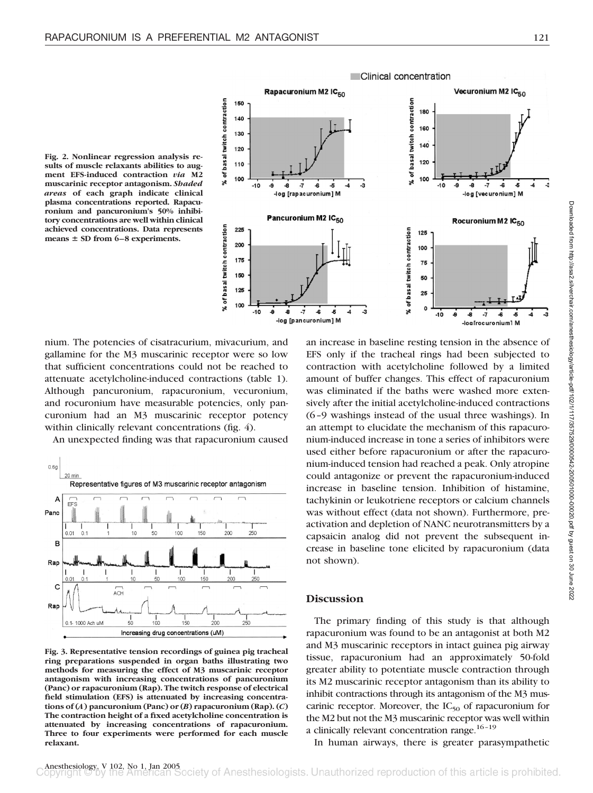**Fig. 2. Nonlinear regression analysis results of muscle relaxants abilities to augment EFS-induced contraction** *via* **M2 muscarinic receptor antagonism.** *Shaded areas* **of each graph indicate clinical plasma concentrations reported. Rapacuronium and pancuronium's 50% inhibitory concentrations are well within clinical achieved concentrations. Data represents** means  $\pm$  SD from 6–8 experiments.



Clinical concentration

nium. The potencies of cisatracurium, mivacurium, and gallamine for the M3 muscarinic receptor were so low that sufficient concentrations could not be reached to attenuate acetylcholine-induced contractions (table 1). Although pancuronium, rapacuronium, vecuronium, and rocuronium have measurable potencies, only pancuronium had an M3 muscarinic receptor potency within clinically relevant concentrations (fig. 4).

An unexpected finding was that rapacuronium caused



**Fig. 3. Representative tension recordings of guinea pig tracheal ring preparations suspended in organ baths illustrating two methods for measuring the effect of M3 muscarinic receptor antagonism with increasing concentrations of pancuronium (Panc) or rapacuronium (Rap). The twitch response of electrical field stimulation (EFS) is attenuated by increasing concentrations of (***A***) pancuronium (Panc) or (***B***) rapacuronium (Rap). (***C***) The contraction height of a fixed acetylcholine concentration is attenuated by increasing concentrations of rapacuronium. Three to four experiments were performed for each muscle relaxant.**

an increase in baseline resting tension in the absence of EFS only if the tracheal rings had been subjected to contraction with acetylcholine followed by a limited amount of buffer changes. This effect of rapacuronium was eliminated if the baths were washed more extensively after the initial acetylcholine-induced contractions (6–9 washings instead of the usual three washings). In an attempt to elucidate the mechanism of this rapacuronium-induced increase in tone a series of inhibitors were used either before rapacuronium or after the rapacuronium-induced tension had reached a peak. Only atropine could antagonize or prevent the rapacuronium-induced increase in baseline tension. Inhibition of histamine, tachykinin or leukotriene receptors or calcium channels was without effect (data not shown). Furthermore, preactivation and depletion of NANC neurotransmitters by a capsaicin analog did not prevent the subsequent increase in baseline tone elicited by rapacuronium (data not shown).

#### **Discussion**

The primary finding of this study is that although rapacuronium was found to be an antagonist at both M2 and M3 muscarinic receptors in intact guinea pig airway tissue, rapacuronium had an approximately 50-fold greater ability to potentiate muscle contraction through its M2 muscarinic receptor antagonism than its ability to inhibit contractions through its antagonism of the M3 muscarinic receptor. Moreover, the  $IC_{50}$  of rapacuronium for the M2 but not the M3 muscarinic receptor was well within a clinically relevant concentration range.<sup>16-19</sup>

In human airways, there is greater parasympathetic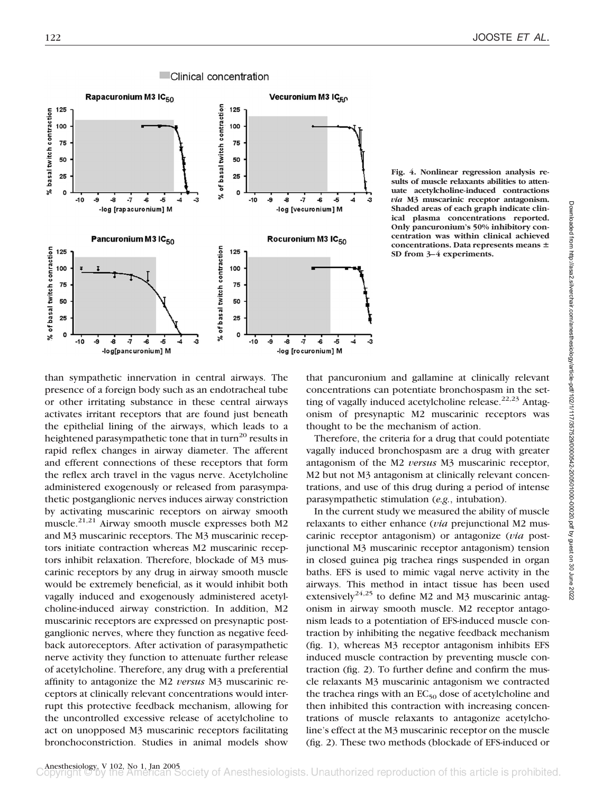

**Fig. 4. Nonlinear regression analysis results of muscle relaxants abilities to attenuate acetylcholine-induced contractions** *via* **M3 muscarinic receptor antagonism. Shaded areas of each graph indicate clinical plasma concentrations reported. Only pancuronium's 50% inhibitory concentration was within clinical achieved** concentrations. Data represents means  $\pm$ **SD from 3–4 experiments.**

than sympathetic innervation in central airways. The presence of a foreign body such as an endotracheal tube or other irritating substance in these central airways activates irritant receptors that are found just beneath the epithelial lining of the airways, which leads to a heightened parasympathetic tone that in turn<sup>20</sup> results in rapid reflex changes in airway diameter. The afferent and efferent connections of these receptors that form the reflex arch travel in the vagus nerve. Acetylcholine administered exogenously or released from parasympathetic postganglionic nerves induces airway constriction by activating muscarinic receptors on airway smooth muscle.21,21 Airway smooth muscle expresses both M2 and M3 muscarinic receptors. The M3 muscarinic receptors initiate contraction whereas M2 muscarinic receptors inhibit relaxation. Therefore, blockade of M3 muscarinic receptors by any drug in airway smooth muscle would be extremely beneficial, as it would inhibit both vagally induced and exogenously administered acetylcholine-induced airway constriction. In addition, M2 muscarinic receptors are expressed on presynaptic postganglionic nerves, where they function as negative feedback autoreceptors. After activation of parasympathetic nerve activity they function to attenuate further release of acetylcholine. Therefore, any drug with a preferential affinity to antagonize the M2 *versus* M3 muscarinic receptors at clinically relevant concentrations would interrupt this protective feedback mechanism, allowing for the uncontrolled excessive release of acetylcholine to act on unopposed M3 muscarinic receptors facilitating bronchoconstriction. Studies in animal models show

that pancuronium and gallamine at clinically relevant concentrations can potentiate bronchospasm in the setting of vagally induced acetylcholine release. $22,23$  Antagonism of presynaptic M2 muscarinic receptors was thought to be the mechanism of action.

Therefore, the criteria for a drug that could potentiate vagally induced bronchospasm are a drug with greater antagonism of the M2 *versus* M3 muscarinic receptor, M2 but not M3 antagonism at clinically relevant concentrations, and use of this drug during a period of intense parasympathetic stimulation (*e.g.*, intubation).

In the current study we measured the ability of muscle relaxants to either enhance (*via* prejunctional M2 muscarinic receptor antagonism) or antagonize (*via* postjunctional M3 muscarinic receptor antagonism) tension in closed guinea pig trachea rings suspended in organ baths. EFS is used to mimic vagal nerve activity in the airways. This method in intact tissue has been used extensively<sup>24,25</sup> to define M2 and M3 muscarinic antagonism in airway smooth muscle. M2 receptor antagonism leads to a potentiation of EFS-induced muscle contraction by inhibiting the negative feedback mechanism (fig. 1), whereas M3 receptor antagonism inhibits EFS induced muscle contraction by preventing muscle contraction (fig. 2). To further define and confirm the muscle relaxants M3 muscarinic antagonism we contracted the trachea rings with an  $EC_{50}$  dose of acetylcholine and then inhibited this contraction with increasing concentrations of muscle relaxants to antagonize acetylcholine's effect at the M3 muscarinic receptor on the muscle (fig. 2). These two methods (blockade of EFS-induced or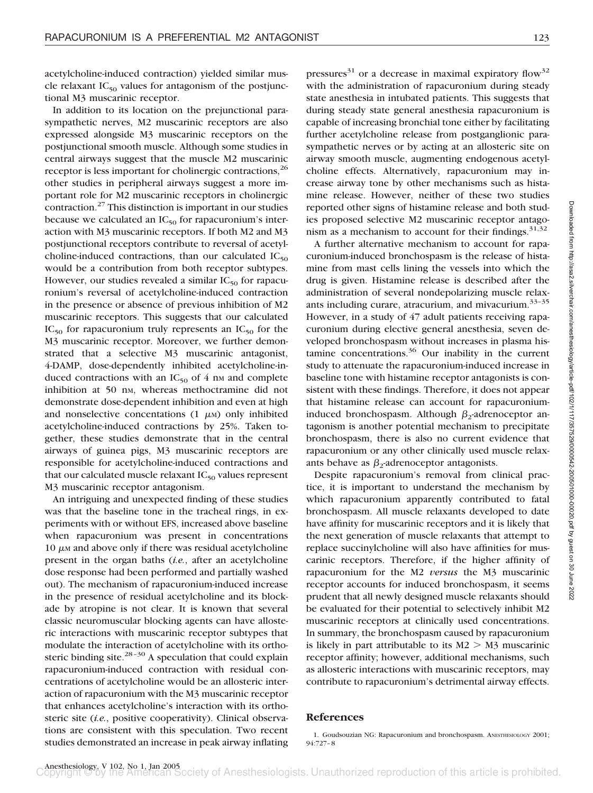acetylcholine-induced contraction) yielded similar muscle relaxant  $IC_{50}$  values for antagonism of the postjunctional M3 muscarinic receptor.

In addition to its location on the prejunctional parasympathetic nerves, M2 muscarinic receptors are also expressed alongside M3 muscarinic receptors on the postjunctional smooth muscle. Although some studies in central airways suggest that the muscle M2 muscarinic receptor is less important for cholinergic contractions,<sup>26</sup> other studies in peripheral airways suggest a more important role for M2 muscarinic receptors in cholinergic contraction.27 This distinction is important in our studies because we calculated an  $IC_{50}$  for rapacuronium's interaction with M3 muscarinic receptors. If both M2 and M3 postjunctional receptors contribute to reversal of acetylcholine-induced contractions, than our calculated  $IC_{50}$ would be a contribution from both receptor subtypes. However, our studies revealed a similar  $IC_{50}$  for rapacuronium's reversal of acetylcholine-induced contraction in the presence or absence of previous inhibition of M2 muscarinic receptors. This suggests that our calculated  $IC_{50}$  for rapacuronium truly represents an  $IC_{50}$  for the M3 muscarinic receptor. Moreover, we further demonstrated that a selective M3 muscarinic antagonist, 4-DAMP, dose-dependently inhibited acetylcholine-induced contractions with an  $IC_{50}$  of 4 nm and complete inhibition at 50 nm, whereas methoctramine did not demonstrate dose-dependent inhibition and even at high and nonselective concentations  $(1 \mu M)$  only inhibited acetylcholine-induced contractions by 25%. Taken together, these studies demonstrate that in the central airways of guinea pigs, M3 muscarinic receptors are responsible for acetylcholine-induced contractions and that our calculated muscle relaxant  $IC_{50}$  values represent M3 muscarinic receptor antagonism.

An intriguing and unexpected finding of these studies was that the baseline tone in the tracheal rings, in experiments with or without EFS, increased above baseline when rapacuronium was present in concentrations  $10 \mu$ <sub>M</sub> and above only if there was residual acetylcholine present in the organ baths (*i.e.*, after an acetylcholine dose response had been performed and partially washed out). The mechanism of rapacuronium-induced increase in the presence of residual acetylcholine and its blockade by atropine is not clear. It is known that several classic neuromuscular blocking agents can have allosteric interactions with muscarinic receptor subtypes that modulate the interaction of acetylcholine with its orthosteric binding site.<sup>28-30</sup> A speculation that could explain rapacuronium-induced contraction with residual concentrations of acetylcholine would be an allosteric interaction of rapacuronium with the M3 muscarinic receptor that enhances acetylcholine's interaction with its orthosteric site (*i.e.*, positive cooperativity). Clinical observations are consistent with this speculation. Two recent studies demonstrated an increase in peak airway inflating pressures<sup>31</sup> or a decrease in maximal expiratory flow<sup>32</sup> with the administration of rapacuronium during steady state anesthesia in intubated patients. This suggests that during steady state general anesthesia rapacuronium is capable of increasing bronchial tone either by facilitating further acetylcholine release from postganglionic parasympathetic nerves or by acting at an allosteric site on airway smooth muscle, augmenting endogenous acetylcholine effects. Alternatively, rapacuronium may increase airway tone by other mechanisms such as histamine release. However, neither of these two studies reported other signs of histamine release and both studies proposed selective M2 muscarinic receptor antagonism as a mechanism to account for their findings.  $31,32$ 

A further alternative mechanism to account for rapacuronium-induced bronchospasm is the release of histamine from mast cells lining the vessels into which the drug is given. Histamine release is described after the administration of several nondepolarizing muscle relaxants including curare, atracurium, and mivacurium.<sup>33-35</sup> However, in a study of 47 adult patients receiving rapacuronium during elective general anesthesia, seven developed bronchospasm without increases in plasma histamine concentrations. $36$  Our inability in the current study to attenuate the rapacuronium-induced increase in baseline tone with histamine receptor antagonists is consistent with these findings. Therefore, it does not appear that histamine release can account for rapacuroniuminduced bronchospasm. Although  $\beta_2$ -adrenoceptor antagonism is another potential mechanism to precipitate bronchospasm, there is also no current evidence that rapacuronium or any other clinically used muscle relaxants behave as  $\beta_2$ -adrenoceptor antagonists.

Despite rapacuronium's removal from clinical practice, it is important to understand the mechanism by which rapacuronium apparently contributed to fatal bronchospasm. All muscle relaxants developed to date have affinity for muscarinic receptors and it is likely that the next generation of muscle relaxants that attempt to replace succinylcholine will also have affinities for muscarinic receptors. Therefore, if the higher affinity of rapacuronium for the M2 *versus* the M3 muscarinic receptor accounts for induced bronchospasm, it seems prudent that all newly designed muscle relaxants should be evaluated for their potential to selectively inhibit M2 muscarinic receptors at clinically used concentrations. In summary, the bronchospasm caused by rapacuronium is likely in part attributable to its  $M2 > M3$  muscarinic receptor affinity; however, additional mechanisms, such as allosteric interactions with muscarinic receptors, may contribute to rapacuronium's detrimental airway effects.

# **References**

1. Goudsouzian NG: Rapacuronium and bronchospasm. ANESTHESIOLOGY 2001; 94:727–8